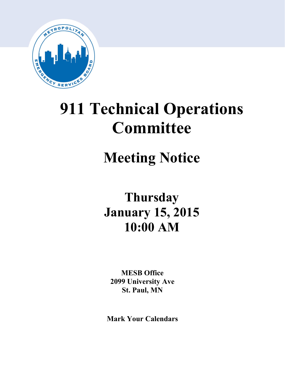

# **911 Technical Operations Committee**

## **Meeting Notice**

## **Thursday January 15, 2015 10:00 AM**

**MESB Office 2099 University Ave St. Paul, MN**

**Mark Your Calendars**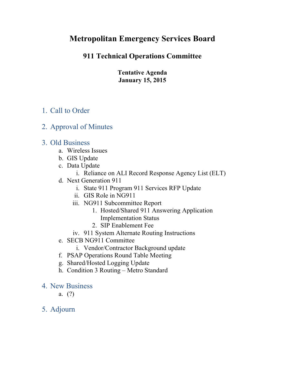## **Metropolitan Emergency Services Board**

### **911 Technical Operations Committee**

**Tentative Agenda January 15, 2015**

## 1. Call to Order

2. Approval of Minutes

### 3. Old Business

- a. Wireless Issues
- b. GIS Update
- c. Data Update
	- i. Reliance on ALI Record Response Agency List (ELT)
- d. Next Generation 911
	- i. State 911 Program 911 Services RFP Update
	- ii. GIS Role in NG911
	- iii. NG911 Subcommittee Report
		- 1. Hosted/Shared 911 Answering Application Implementation Status
		- 2. SIP Enablement Fee
	- iv. 911 System Alternate Routing Instructions
- e. SECB NG911 Committee
	- i. Vendor/Contractor Background update
- f. PSAP Operations Round Table Meeting
- g. Shared/Hosted Logging Update
- h. Condition 3 Routing Metro Standard
- 4. New Business
	- a. (?)
- 5. Adjourn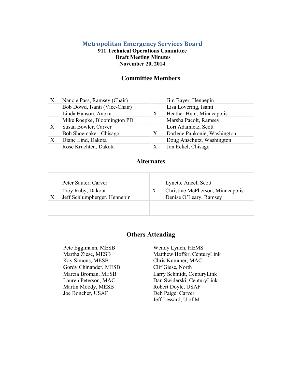#### **Metropolitan Emergency Services Board**

#### **911 Technical Operations Committee Draft Meeting Minutes November 20, 2014**

#### **Committee Members**

| $\boldsymbol{\mathrm{X}}$ | Nancie Pass, Ramsey (Chair)   |   | Jim Bayer, Hennepin          |
|---------------------------|-------------------------------|---|------------------------------|
|                           | Bob Dowd, Isanti (Vice-Chair) |   | Lisa Lovering, Isanti        |
|                           | Linda Hanson, Anoka           | Χ | Heather Hunt, Minneapolis    |
|                           | Mike Roepke, Bloomington PD   |   | Marsha Pacolt, Ramsey        |
| $\boldsymbol{\mathrm{X}}$ | Susan Bowler, Carver          |   | Lori Adamietz, Scott         |
|                           | Bob Shoemaker, Chisago        | X | Darlene Pankonie, Washington |
| $\boldsymbol{\mathrm{X}}$ | Diane Lind, Dakota            |   | Doug Anschutz, Washington    |
|                           | Rose Kruchten, Dakota         |   | Jon Eckel, Chisago           |

#### **Alternates**

| Peter Sauter, Carver         |   | Lynette Ancel, Scott             |
|------------------------------|---|----------------------------------|
| Troy Ruby, Dakota            | Χ | Christine McPherson, Minneapolis |
| Jeff Schlumpberger, Hennepin |   | Denise O'Leary, Ramsey           |
|                              |   |                                  |
|                              |   |                                  |

#### **Others Attending**

Pete Eggimann, MESB Wendy Lynch, HEMS Kay Simons, MESB Chris Kummer, MAC Gordy Chinander, MESB Clif Giese, North Martin Moody, MESB Joe Boncher, USAF

Martha Ziese, MESB Matthew Hoffer, CenturyLink Marcia Broman, MESB Larry Schmidt, CenturyLink Lauren Peterson, MAC Dan Swiderski, CenturyLink Robert Doyle, USAF Deb Paige, Carver Jeff Lessard, U of M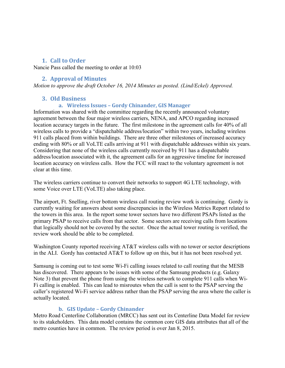#### **1. Call to Order**

Nancie Pass called the meeting to order at 10:03

#### **2. Approval of Minutes**

*Motion to approve the draft October 16, 2014 Minutes as posted. (Lind/Eckel) Approved.* 

#### **3. Old Business**

#### **a. Wireless Issues – Gordy Chinander, GIS Manager**

Information was shared with the committee regarding the recently announced voluntary agreement between the four major wireless carriers, NENA, and APCO regarding increased location accuracy targets in the future. The first milestone in the agreement calls for 40% of all wireless calls to provide a "dispatchable address/location" within two years, including wireless 911 calls placed from within buildings. There are three other milestones of increased accuracy ending with 80% or all VoLTE calls arriving at 911 with dispatchable addresses within six years. Considering that none of the wireless calls currently received by 911 has a dispatchable address/location associated with it, the agreement calls for an aggressive timeline for increased location accuracy on wireless calls. How the FCC will react to the voluntary agreement is not clear at this time.

The wireless carriers continue to convert their networks to support 4G LTE technology, with some Voice over LTE (VoLTE) also taking place.

The airport, Ft. Snelling, river bottom wireless call routing review work is continuing. Gordy is currently waiting for answers about some discrepancies in the Wireless Metrics Report related to the towers in this area. In the report some tower sectors have two different PSAPs listed as the primary PSAP to receive calls from that sector. Some sectors are receiving calls from locations that logically should not be covered by the sector. Once the actual tower routing is verified, the review work should be able to be completed.

Washington County reported receiving AT&T wireless calls with no tower or sector descriptions in the ALI. Gordy has contacted AT&T to follow up on this, but it has not been resolved yet.

Samsung is coming out to test some Wi-Fi calling issues related to call routing that the MESB has discovered. There appears to be issues with some of the Samsung products (e.g. Galaxy Note 3) that prevent the phone from using the wireless network to complete 911 calls when Wi-Fi calling is enabled. This can lead to misroutes when the call is sent to the PSAP serving the caller's registered Wi-Fi service address rather than the PSAP serving the area where the caller is actually located.

#### **b. GIS Update – Gordy Chinander**

Metro Road Centerline Collaboration (MRCC) has sent out its Centerline Data Model for review to its stakeholders. This data model contains the common core GIS data attributes that all of the metro counties have in common. The review period is over Jan 8, 2015.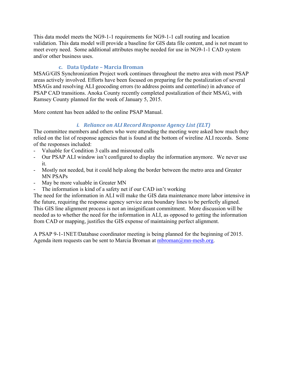This data model meets the NG9-1-1 requirements for NG9-1-1 call routing and location validation. This data model will provide a baseline for GIS data file content, and is not meant to meet every need. Some additional attributes maybe needed for use in NG9-1-1 CAD system and/or other business uses.

#### **c. Data Update – Marcia Broman**

MSAG/GIS Synchronization Project work continues throughout the metro area with most PSAP areas actively involved. Efforts have been focused on preparing for the postalization of several MSAGs and resolving ALI geocoding errors (to address points and centerline) in advance of PSAP CAD transitions. Anoka County recently completed postalization of their MSAG, with Ramsey County planned for the week of January 5, 2015.

More content has been added to the online PSAP Manual.

#### *i. Reliance on ALI Record Response Agency List (ELT)*

The committee members and others who were attending the meeting were asked how much they relied on the list of response agencies that is found at the bottom of wireline ALI records. Some of the responses included:

- Valuable for Condition 3 calls and misrouted calls
- Our PSAP ALI window isn't configured to display the information anymore. We never use it.
- Mostly not needed, but it could help along the border between the metro area and Greater MN PSAPs
- May be more valuable in Greater MN
- The information is kind of a safety net if our CAD isn't working

The need for the information in ALI will make the GIS data maintenance more labor intensive in the future, requiring the response agency service area boundary lines to be perfectly aligned. This GIS line alignment process is not an insignificant commitment. More discussion will be needed as to whether the need for the information in ALI, as opposed to getting the information from CAD or mapping, justifies the GIS expense of maintaining perfect alignment.

A PSAP 9-1-1NET/Database coordinator meeting is being planned for the beginning of 2015. Agenda item requests can be sent to Marcia Broman at  $mbroman(\omega mn-mesh.org)$ .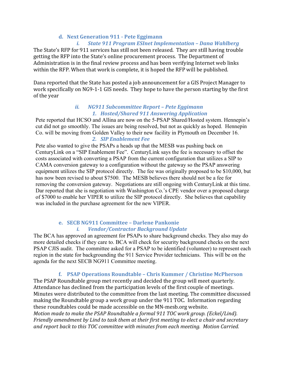#### **d. Next Generation 911 - Pete Eggimann**

#### *i. State 911 Program ESInet Implementation – Dana Wahlberg*

The State's RFP for 911 services has still not been released. They are still having trouble getting the RFP into the State's online procurement process. The Department of Administration is in the final review process and has been verifying Internet web links within the RFP. When that work is complete, it is hoped the RFP will be published.

Dana reported that the State has posted a job announcement for a GIS Project Manager to work specifically on NG9-1-1 GIS needs. They hope to have the person starting by the first of the year

#### *ii. NG911 Subcommittee Report – Pete Eggimann 1. Hosted/Shared 911 Answering Application*

Pete reported that HCSO and Allina are now on the 5-PSAP Shared/Hosted system. Hennepin's cut did not go smoothly. The issues are being resolved, but not as quickly as hoped. Hennepin Co. will be moving from Golden Valley to their new facility in Plymouth on December 16. *2. SIP Enablement Fee*

Pete also wanted to give the PSAPs a heads up that the MESB was pushing back on CenturyLink on a "SIP Enablement Fee". CenturyLink says the fee is necessary to offset the costs associated with converting a PSAP from the current configuration that utilizes a SIP to CAMA conversion gateway to a configuration without the gateway so the PSAP answering equipment utilizes the SIP protocol directly. The fee was originally proposed to be \$10,000, but has now been revised to about \$7500. The MESB believes there should not be a fee for removing the conversion gateway. Negotiations are still ongoing with CenturyLink at this time. Dar reported that she is negotiation with Washington Co.'s CPE vendor over a proposed charge of \$7000 to enable her VIPER to utilize the SIP protocol directly. She believes that capability was included in the purchase agreement for the new VIPER.

#### **e. SECB NG911 Committee – Darlene Pankonie** *i. Vendor/Contractor Background Update*

The BCA has approved an agreement for PSAPs to share background checks. They also may do more detailed checks if they care to. BCA will check for security background checks on the next PSAP CJIS audit. The committee asked for a PSAP to be identified (volunteer) to represent each region in the state for backgrounding the 911 Service Provider technicians. This will be on the agenda for the next SECB NG911 Committee meeting.

#### **f. PSAP Operations Roundtable – Chris Kummer / Christine McPherson**

The PSAP Roundtable group met recently and decided the group will meet quarterly. Attendance has declined from the participation levels of the first couple of meetings. Minutes were distributed to the committee from the last meeting. The committee discussed making the Roundtable group a work group under the 911 TOC. Information regarding these roundtables could be made accessible on the MN-mesb.org website. *Motion made to make the PSAP Roundtable a formal 911 TOC work group. (Eckel/Lind). Friendly amendment by Lind to task them at their first meeting to elect a chair and secretary and report back to this TOC committee with minutes from each meeting. Motion Carried.*